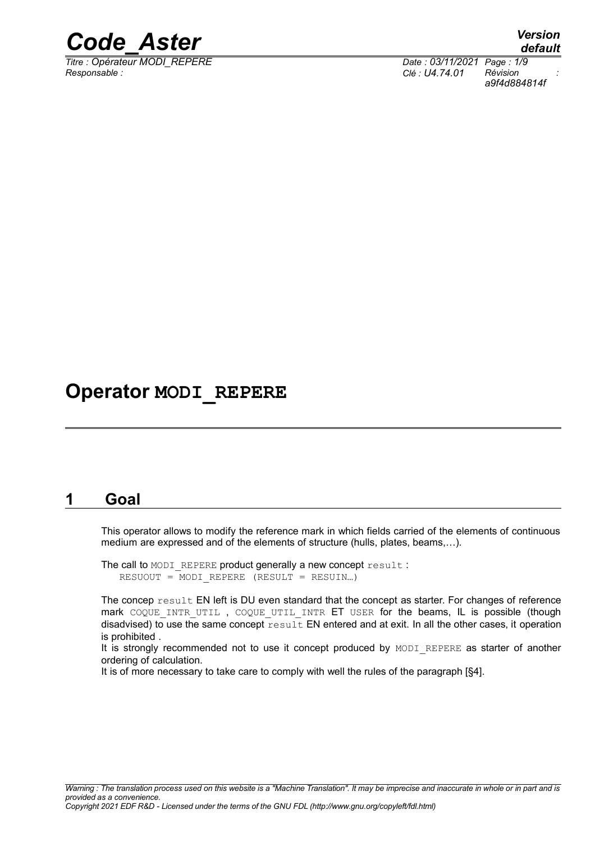

*Titre : Opérateur MODI\_REPERE Date : 03/11/2021 Page : 1/9 Responsable : Clé : U4.74.01 Révision :*

*a9f4d884814f*

# **Operator MODI\_REPERE**

### **1 Goal**

This operator allows to modify the reference mark in which fields carried of the elements of continuous medium are expressed and of the elements of structure (hulls, plates, beams,…).

The call to MODI REPERE product generally a new concept result : RESUOUT = MODI\_REPERE (RESULT = RESUIN…)

The concep result EN left is DU even standard that the concept as starter. For changes of reference mark COQUE INTR UTIL, COQUE UTIL INTR ET USER for the beams, IL is possible (though disadvised) to use the same concept result EN entered and at exit. In all the other cases, it operation is prohibited .

It is strongly recommended not to use it concept produced by MODI\_REPERE as starter of another ordering of calculation.

It is of more necessary to take care to comply with well the rules of the paragraph [§4].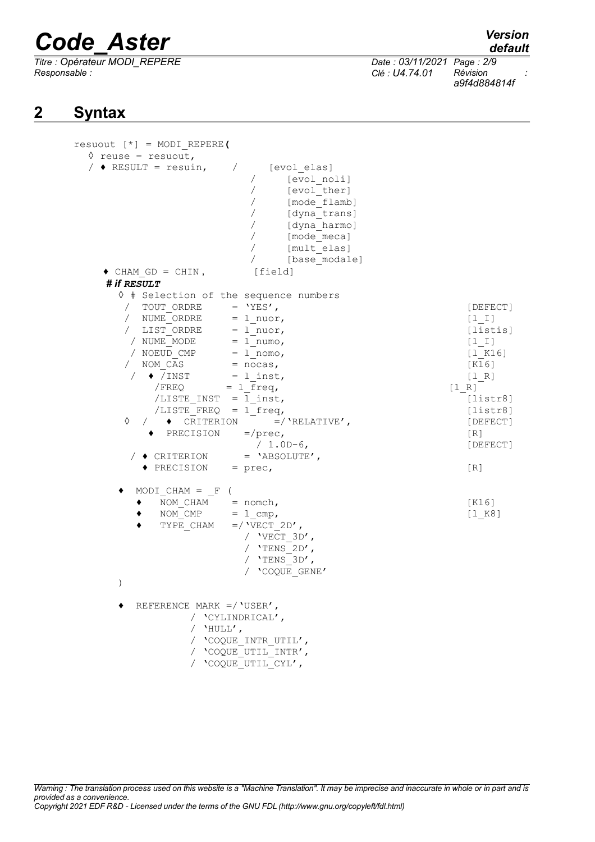*Titre : Opérateur MODI\_REPERE Date : 03/11/2021 Page : 2/9 Responsable : Clé : U4.74.01 Révision :*

*default*

*a9f4d884814f*

# **2 Syntax**

| $result [ * ] = MODI REPERE ($                                                                                                                                                                                                                                                                                                                                                                                                           |                                                                                                                                              |
|------------------------------------------------------------------------------------------------------------------------------------------------------------------------------------------------------------------------------------------------------------------------------------------------------------------------------------------------------------------------------------------------------------------------------------------|----------------------------------------------------------------------------------------------------------------------------------------------|
| $\Diamond$ reuse = resuout,                                                                                                                                                                                                                                                                                                                                                                                                              |                                                                                                                                              |
| / $\triangleleft$ RESULT = resuin,<br>[evol elas]<br>$\overline{\phantom{a}}$<br>[evol noli]<br>$\sqrt{2}$<br>[evol ther]<br>[mode flamb]<br>[dyna trans]<br>[dyna harmo]<br>[mode meca]<br>$\sqrt{2}$<br>[mult elas]<br>$\sqrt{2}$<br>[base modale]                                                                                                                                                                                     |                                                                                                                                              |
| $\bullet$ CHAM GD = CHIN,<br>[field]                                                                                                                                                                                                                                                                                                                                                                                                     |                                                                                                                                              |
| # if RESULT                                                                                                                                                                                                                                                                                                                                                                                                                              |                                                                                                                                              |
| ↑ # Selection of the sequence numbers                                                                                                                                                                                                                                                                                                                                                                                                    |                                                                                                                                              |
| / TOUT ORDRE = $'YES'$ ,<br>/ NUME ORDRE<br>$= 1$ nuor,<br>/ LIST ORDRE $= 1$ nuor,<br>/ NUME MODE<br>$= 1$ numo,<br>/ NOEUD CMP<br>$= 1$ nomo,<br>/ NOM CAS<br>$=$ nocas,<br>$/ \bullet /$ INST = 1 inst,<br>$/FREQ = 1 freq,$<br>/LISTE INST = $1$ inst,<br>/LISTE FREQ = $1$ freq,<br>$/$ $\rightarrow$ CRITERION =/'RELATIVE',<br>♦<br>◆ PRECISION<br>$=$ /prec,<br>$/ 1.0D-6,$<br>$= 'ABSOLUTE'$ ,<br>$/$ $\blacklozenge$ CRITERION | [DEFECT]<br>$[1 \; 1]$<br>[listis]<br>[1 I]<br>[1 K16]<br>[K16]<br>[1 R]<br>[1 R]<br>[liststr8]<br>[liststr8]<br>[DEFECT]<br>[R]<br>[DEFECT] |
| $\triangle$ PRECISION = prec,                                                                                                                                                                                                                                                                                                                                                                                                            | [R]                                                                                                                                          |
| MODI CHAM = $F($<br>NOM CHAM = $nomb$ ,<br>NOM $\text{CMP} = 1 \text{cmp}$ ,<br>TYPE CHAM<br>$=$ / 'VECT 2D',<br>/ $VECT 3D'$ ,<br>/ 'TENS $2D'$ ,<br>/ 'TENS $3D'$ ,<br>/ 'COQUE GENE'<br>$\lambda$                                                                                                                                                                                                                                     | [K16]<br>[1 K8]                                                                                                                              |
| REFERENCE MARK =/ $'$ USER',<br>/ 'CYLINDRICAL',<br>/ $'$ HULL',<br>/ 'COQUE INTR UTIL',<br>/ 'COQUE UTIL INTR',<br>/ 'COQUE UTIL CYL',                                                                                                                                                                                                                                                                                                  |                                                                                                                                              |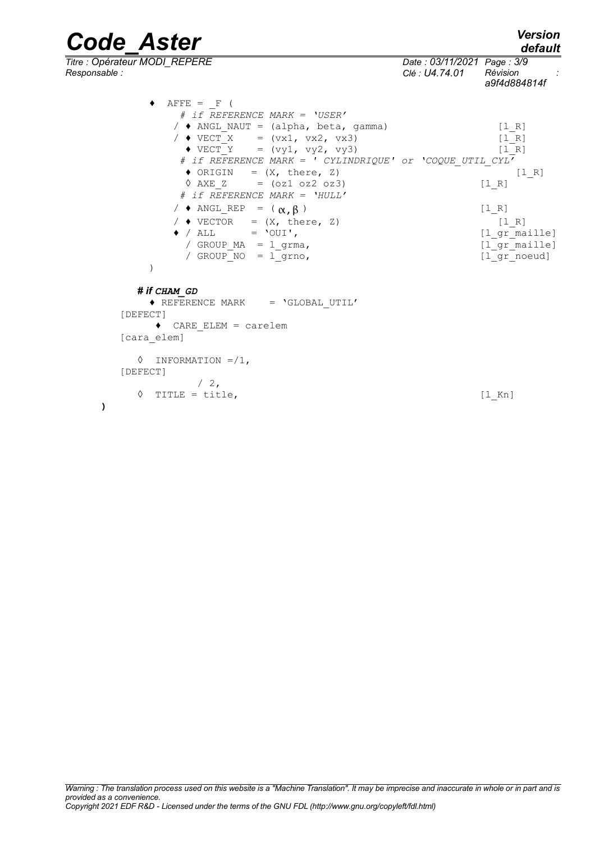*default*

*Titre : Opérateur MODI\_REPERE Date : 03/11/2021 Page : 3/9*

 $\triangle$  AFFE =  *# if REFERENCE MARK = 'USER'* *Responsable : Clé : U4.74.01 Révision :*

|                                                                                                                                                                                                                                                                                                                                                                                               | a9f4d884814f                          |
|-----------------------------------------------------------------------------------------------------------------------------------------------------------------------------------------------------------------------------------------------------------------------------------------------------------------------------------------------------------------------------------------------|---------------------------------------|
| $\text{FFE}$ = F (                                                                                                                                                                                                                                                                                                                                                                            |                                       |
| # if REFERENCE MARK = 'USER'                                                                                                                                                                                                                                                                                                                                                                  |                                       |
| $/$ $\bullet$ ANGL NAUT = (alpha, beta, gamma)                                                                                                                                                                                                                                                                                                                                                | $\begin{bmatrix} 1 & R \end{bmatrix}$ |
| / $\sqrt{2}$ VECT X = (vx1, vx2, vx3)                                                                                                                                                                                                                                                                                                                                                         | $\begin{bmatrix} 1 & R \end{bmatrix}$ |
| $\blacklozenge$ VECT Y = (vy1, vy2, vy3)                                                                                                                                                                                                                                                                                                                                                      | $\begin{bmatrix} 1 & R \end{bmatrix}$ |
| # if REFERENCE MARK = ' CYLINDRIQUE' or 'COQUE UTIL CYL'                                                                                                                                                                                                                                                                                                                                      |                                       |
| $\bullet$ ORIGIN = $(X, \text{ there}, Z)$                                                                                                                                                                                                                                                                                                                                                    | [1 R]                                 |
| $\sqrt{}$ AXE Z = (0z1 0z2 0z3)                                                                                                                                                                                                                                                                                                                                                               | [1 R]                                 |
| # if REFERENCE MARK = 'HULL'                                                                                                                                                                                                                                                                                                                                                                  |                                       |
| / $\triangle$ ANGL REP = $(\alpha, \beta)$                                                                                                                                                                                                                                                                                                                                                    | [1 R]                                 |
| $/$ $\bullet$ VECTOR = $(X, \text{ there}, Z)$                                                                                                                                                                                                                                                                                                                                                | [1 R]                                 |
| $\lambda$ / $\lambda$ , $\lambda$ , $\lambda$ , $\lambda$ , $\lambda$ , $\lambda$ , $\lambda$ , $\lambda$ , $\lambda$ , $\lambda$ , $\lambda$ , $\lambda$ , $\lambda$ , $\lambda$ , $\lambda$ , $\lambda$ , $\lambda$ , $\lambda$ , $\lambda$ , $\lambda$ , $\lambda$ , $\lambda$ , $\lambda$ , $\lambda$ , $\lambda$ , $\lambda$ , $\lambda$ , $\lambda$ , $\lambda$ , $\lambda$ , $\lambda$ |                                       |

 $\bullet$  / ALL = 'OUI',  $[1_gr\_maille]$  / GROUP\_MA = l\_grma, [l\_gr\_maille] / GROUP\_NO = l\_grno, [l\_gr\_noeud]

#### *# if CHAM\_GD*

)

**)**

♦ REFERENCE MARK = 'GLOBAL\_UTIL' [DEFECT] ♦ CARE\_ELEM = carelem [cara\_elem] ◊ INFORMATION =/1, [DEFECT]  $/2,$  $\Diamond$  TITLE = title,  $[1_Kn]$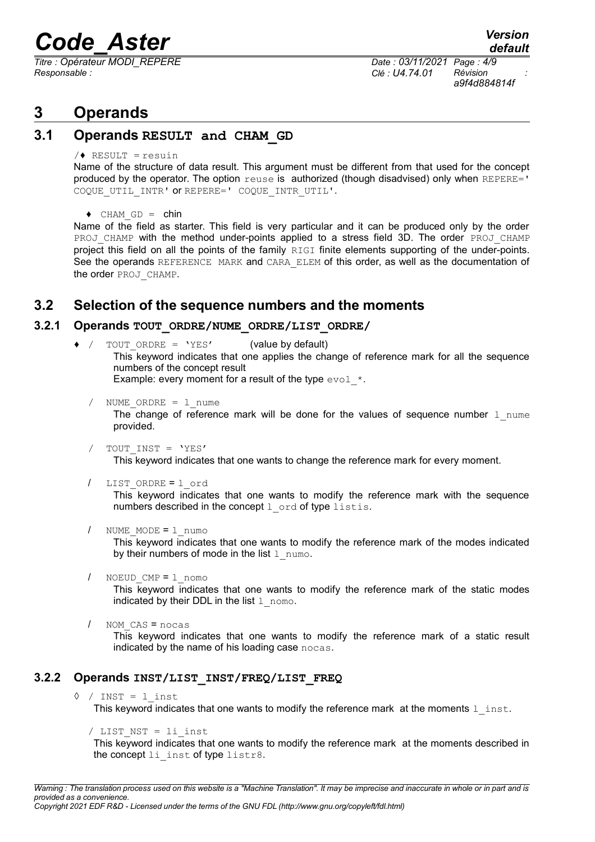*Titre : Opérateur MODI\_REPERE Date : 03/11/2021 Page : 4/9 Responsable : Clé : U4.74.01 Révision :*

*a9f4d884814f*

## **3 Operands**

### **3.1 Operands RESULT and CHAM\_GD**

 $/$  RESULT = resuin

Name of the structure of data result. This argument must be different from that used for the concept produced by the operator. The option reuse is authorized (though disadvised) only when REPERE=' COQUE UTIL INTR' OT REPERE=' COQUE INTR UTIL'.

 $\triangleleft$  CHAM GD = chin

Name of the field as starter. This field is very particular and it can be produced only by the order PROJ CHAMP with the method under-points applied to a stress field 3D. The order PROJ CHAMP project this field on all the points of the family RIGI finite elements supporting of the under-points. See the operands REFERENCE MARK and CARA ELEM of this order, as well as the documentation of the order PROJ\_CHAMP.

### **3.2 Selection of the sequence numbers and the moments**

#### **3.2.1 Operands TOUT\_ORDRE/NUME\_ORDRE/LIST\_ORDRE/**

 $\bullet$  / TOUT ORDRE = 'YES' (value by default)

This keyword indicates that one applies the change of reference mark for all the sequence numbers of the concept result

Example: every moment for a result of the type  $evol$  \*.

/ NUME ORDRE =  $1$  nume

The change of reference mark will be done for the values of sequence number  $1$  nume provided.

TOUT INST = 'YES'

This keyword indicates that one wants to change the reference mark for every moment.

/ LIST\_ORDRE = l\_ord

This keyword indicates that one wants to modify the reference mark with the sequence numbers described in the concept  $1$  ord of type listis.

/ NUME\_MODE = l\_numo

This keyword indicates that one wants to modify the reference mark of the modes indicated by their numbers of mode in the list  $1$  numo.

/ NOEUD\_CMP = l\_nomo

This keyword indicates that one wants to modify the reference mark of the static modes indicated by their DDL in the list  $1$ \_nomo.

```
/ NOM_CAS = nocas
```
This keyword indicates that one wants to modify the reference mark of a static result indicated by the name of his loading case nocas.

### **3.2.2 Operands INST/LIST\_INST/FREQ/LIST\_FREQ**

 $\Diamond$  / INST = 1 inst

This keyword indicates that one wants to modify the reference mark at the moments  $1$  inst.

```
/ LIST NST = 1i inst
```
This keyword indicates that one wants to modify the reference mark at the moments described in the concept li\_inst of type listr8.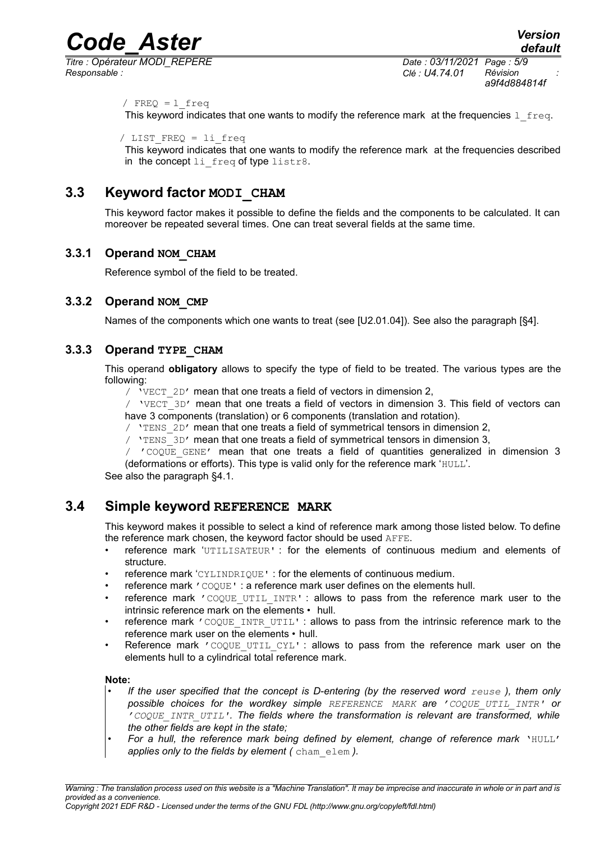*Titre : Opérateur MODI\_REPERE Date : 03/11/2021 Page : 5/9 Responsable : Clé : U4.74.01 Révision :*

*a9f4d884814f*

/  $FREQ = 1$  freq

This keyword indicates that one wants to modify the reference mark at the frequencies  $1 \text{ freq.}$ 

```
/ LIST_FREQ = li_freq
```
This keyword indicates that one wants to modify the reference mark at the frequencies described in the concept li freq of type listr8.

### **3.3 Keyword factor MODI\_CHAM**

This keyword factor makes it possible to define the fields and the components to be calculated. It can moreover be repeated several times. One can treat several fields at the same time.

### **3.3.1 Operand NOM\_CHAM**

Reference symbol of the field to be treated.

### **3.3.2 Operand NOM\_CMP**

Names of the components which one wants to treat (see [U2.01.04]). See also the paragraph [§4].

### **3.3.3 Operand TYPE\_CHAM**

This operand **obligatory** allows to specify the type of field to be treated. The various types are the following:

/  $VECT 2D'$  mean that one treats a field of vectors in dimension 2,

/  $VET$  3D' mean that one treats a field of vectors in dimension 3. This field of vectors can have 3 components (translation) or 6 components (translation and rotation).

- / 'TENS 2D' mean that one treats a field of symmetrical tensors in dimension 2,
- /  $Y$ ENS  $3D'$  mean that one treats a field of symmetrical tensors in dimension 3,

/ 'COQUE\_GENE' mean that one treats a field of quantities generalized in dimension 3 (deformations or efforts). This type is valid only for the reference mark 'HULL'.

See also the paragraph [§4.1.](#page-7-0)

### **3.4 Simple keyword REFERENCE MARK**

This keyword makes it possible to select a kind of reference mark among those listed below. To define the reference mark chosen, the keyword factor should be used AFFE.

- reference mark 'UTILISATEUR' : for the elements of continuous medium and elements of structure.
- reference mark 'CYLINDRIQUE' : for the elements of continuous medium.
- reference mark 'COQUE' : a reference mark user defines on the elements hull.
- reference mark 'COOUE UTIL INTR' : allows to pass from the reference mark user to the intrinsic reference mark on the elements • hull.
- reference mark 'COQUE\_INTR\_UTIL' : allows to pass from the intrinsic reference mark to the reference mark user on the elements • hull.
- Reference mark  $r \in \Omega$  responsing to Reference mark user on the reference mark user on the elements hull to a cylindrical total reference mark.

#### **Note:**

- *• If the user specified that the concept is D-entering (by the reserved word reuse ), them only possible choices for the wordkey simple REFERENCE MARK are 'COQUE\_UTIL\_INTR' or 'COQUE\_INTR\_UTIL'. The fields where the transformation is relevant are transformed, while the other fields are kept in the state;*
- *For a hull, the reference mark being defined by element, change of reference mark* **'HULL'** *applies only to the fields by element (* cham\_elem *).*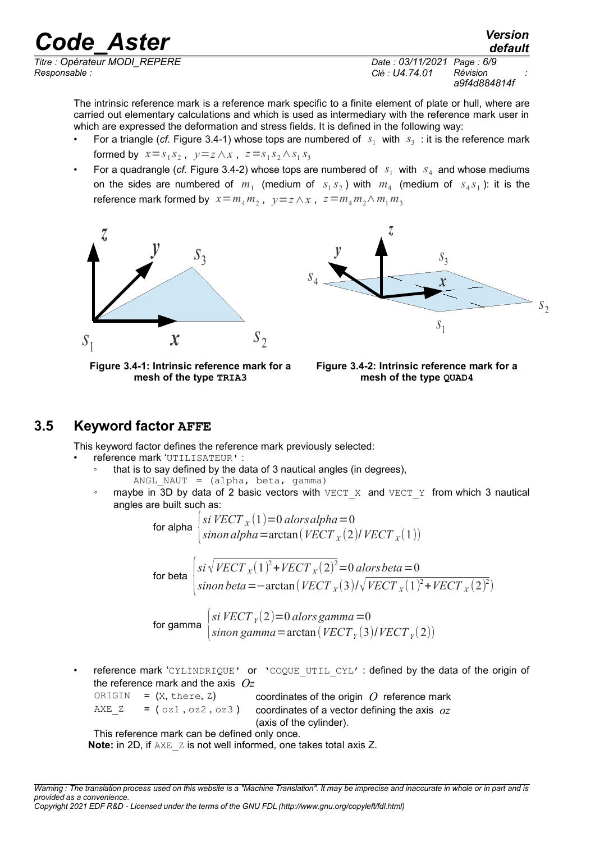*default*

*Titre : Opérateur MODI\_REPERE Date : 03/11/2021 Page : 6/9 Responsable : Clé : U4.74.01 Révision :*

*a9f4d884814f*

The intrinsic reference mark is a reference mark specific to a finite element of plate or hull, where are carried out elementary calculations and which is used as intermediary with the reference mark user in which are expressed the deformation and stress fields. It is defined in the following way:

- For a triangle (*cf.* [Figure 3.4-1\)](#page-5-1) whose tops are numbered of  $s_1$  with  $s_3$ : it is the reference mark formed by  $x = s_1 s_2$ ,  $y = z \wedge x$ ,  $z = s_1 s_2 \wedge s_1 s_3$
- For a quadrangle (*cf.* [Figure 3.4-2\)](#page-5-0) whose tops are numbered of  $s_1$  with  $s_4$  and whose mediums on the sides are numbered of  $m_1$  (medium of  $s_1 s_2$ ) with  $m_4$  (medium of  $s_4 s_1$ ): it is the reference mark formed by  $x = m_4 m_2$ ,  $y = z \wedge x$ ,  $z = m_4 m_2 \wedge m_1 m_3$





<span id="page-5-1"></span>**Figure 3.4-1: Intrinsic reference mark for a mesh of the type TRIA3**

<span id="page-5-0"></span>

### **3.5 Keyword factor AFFE**

This keyword factor defines the reference mark previously selected:

• reference mark 'UTILISATEUR' :

- that is to say defined by the data of 3 nautical angles (in degrees),
	- ANGL NAUT =  $(alpha, beta, gamma)$
- maybe in 3D by data of 2 basic vectors with  $VECT X$  and  $VECT Y$  from which 3 nautical angles are built such as:

for alpha *si VECT <sup>X</sup>* (1)=0 *alorsalpha*=0  $s$ *inon alpha* = arctan( ${VECT}_X(2)$ / ${VECT}_X(1)$ )

for beta

 $s$ *i*  $\sqrt{VECT_X(1)^2 + VECT_X(2)^2} = 0$  *alors beta* = 0  $s$ *inon*  $beta = -\arctan(VECT_X(3)/\sqrt{VECT_X(1)^2+VECT_X(2)^2})$ 

for gam

$$
\begin{array}{c}\n\text{ma} \begin{cases}\n\sin VECT_Y(2) = 0 \text{ alors gamma} = 0 \\
\sin on \text{ gamma} = \arctan (VECT_Y(3) / VECT_Y(2))\n\end{cases}\n\end{array}
$$

reference mark 'CYLINDRIQUE' or 'COQUE UTIL CYL' : defined by the data of the origin of the reference mark and the axis *Oz*

ORIGIN =  $(X, \text{there}, Z)$  coordinates of the origin  $Q$  reference mark

AXE  $Z = (\circ z1, \circ z2, \circ z3)$  coordinates of a vector defining the axis  $oz$ 

(axis of the cylinder).

This reference mark can be defined only once.

**Note:** in 2D, if AXE z is not well informed, one takes total axis Z.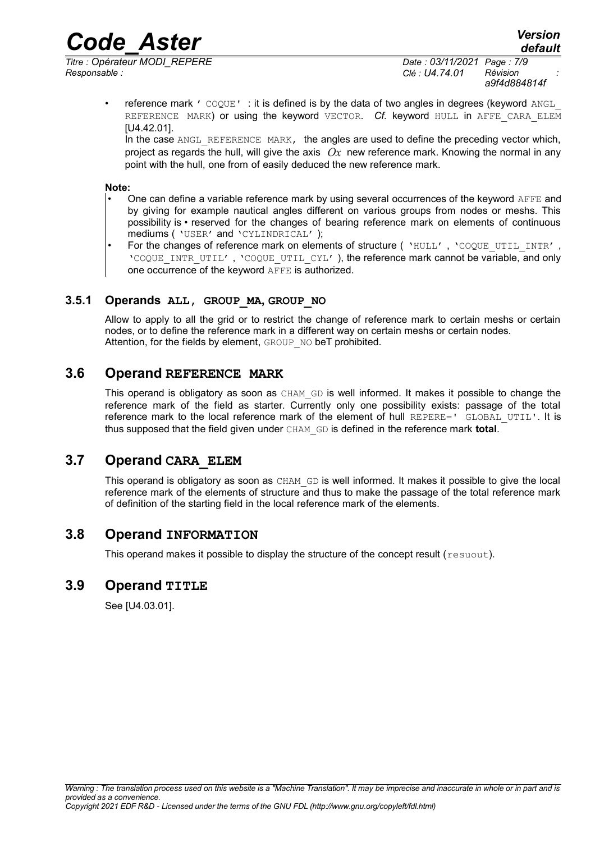*Responsable : Clé : U4.74.01 Révision :*

• reference mark  $\prime$  COQUE': it is defined is by the data of two angles in degrees (keyword ANGL REFERENCE MARK) or using the keyword VECTOR. *Cf.* keyword HULL in AFFE CARA ELEM [U4.42.01].

In the case ANGL, REFERENCE, MARK, the angles are used to define the preceding vector which, project as regards the hull, will give the axis  $\mathcal{O}_X$  new reference mark. Knowing the normal in any point with the hull, one from of easily deduced the new reference mark.

#### **Note:**

- One can define a variable reference mark by using several occurrences of the keyword AFFE and by giving for example nautical angles different on various groups from nodes or meshs. This possibility is • reserved for the changes of bearing reference mark on elements of continuous mediums ( 'USER' and 'CYLINDRICAL' );
- For the changes of reference mark on elements of structure ( 'HULL', 'COQUE\_UTIL\_INTR', 'COQUE INTR UTIL', 'COQUE UTIL CYL' ), the reference mark cannot be variable, and only one occurrence of the keyword AFFE is authorized.

### **3.5.1 Operands ALL, GROUP\_MA, GROUP\_NO**

Allow to apply to all the grid or to restrict the change of reference mark to certain meshs or certain nodes, or to define the reference mark in a different way on certain meshs or certain nodes. Attention, for the fields by element, GROUP NO beT prohibited.

### **3.6 Operand REFERENCE MARK**

This operand is obligatory as soon as CHAM GD is well informed. It makes it possible to change the reference mark of the field as starter. Currently only one possibility exists: passage of the total reference mark to the local reference mark of the element of hull REPERE=' GLOBAL UTIL'. It is thus supposed that the field given under CHAM\_GD is defined in the reference mark **total**.

### **3.7 Operand CARA\_ELEM**

This operand is obligatory as soon as CHAM GD is well informed. It makes it possible to give the local reference mark of the elements of structure and thus to make the passage of the total reference mark of definition of the starting field in the local reference mark of the elements.

### **3.8 Operand INFORMATION**

This operand makes it possible to display the structure of the concept result (resuout).

### **3.9 Operand TITLE**

See [U4.03.01].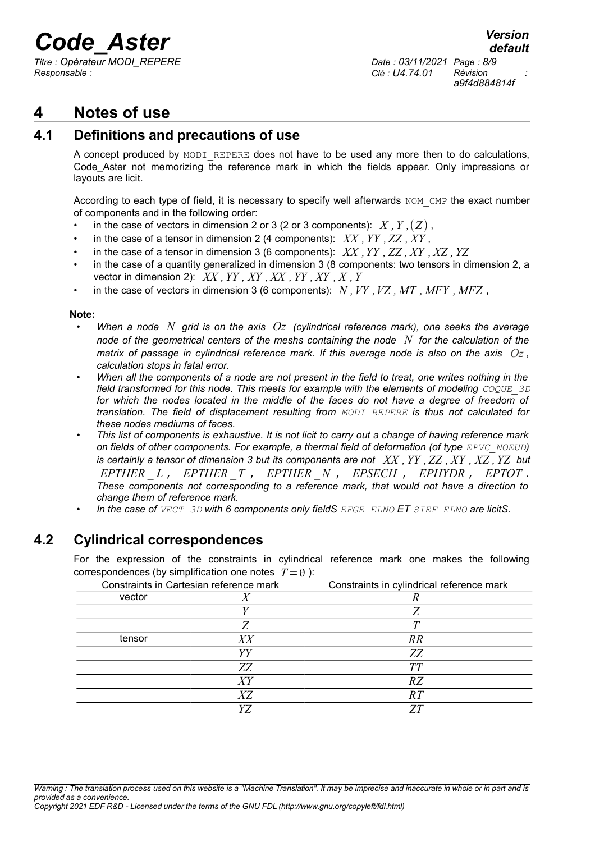*Titre : Opérateur MODI\_REPERE Date : 03/11/2021 Page : 8/9 Responsable : Clé : U4.74.01 Révision :*

*a9f4d884814f*

## **4 Notes of use**

### **4.1 Definitions and precautions of use**

<span id="page-7-0"></span>A concept produced by MODI\_REPERE does not have to be used any more then to do calculations, Code Aster not memorizing the reference mark in which the fields appear. Only impressions or layouts are licit.

According to each type of field, it is necessary to specify well afterwards NOM CMP the exact number of components and in the following order:

- in the case of vectors in dimension 2 or 3 (2 or 3 components):  $X, Y, (Z)$ ,
- in the case of a tensor in dimension 2 (4 components): *XX ,YY ,ZZ , XY* ,
- in the case of a tensor in dimension 3 (6 components): *XX ,YY , ZZ , XY , XZ ,YZ*
- in the case of a quantity generalized in dimension 3 (8 components: two tensors in dimension 2, a vector in dimension 2):  $XX$ ,  $YY$ ,  $XY$ ,  $XX$ ,  $YY$ ,  $XX$ ,  $YY$ ,  $XY$ ,  $X$ ,  $Y$
- in the case of vectors in dimension 3 (6 components): *N ,VY ,VZ , MT , MFY , MFZ* ,

#### **Note:**

- *• When a node N grid is on the axis Oz (cylindrical reference mark), one seeks the average node of the geometrical centers of the meshs containing the node N for the calculation of the matrix of passage in cylindrical reference mark. If this average node is also on the axis*  $Oz$ *, calculation stops in fatal error.*
- *• When all the components of a node are not present in the field to treat, one writes nothing in the field transformed for this node. This meets for example with the elements of modeling*  $COQUE$  *3D for which the nodes located in the middle of the faces do not have a degree of freedom of translation. The field of displacement resulting from MODI\_REPERE is thus not calculated for these nodes mediums of faces.*
- *• This list of components is exhaustive. It is not licit to carry out a change of having reference mark on fields of other components. For example, a thermal field of deformation (of type EPVC\_NOEUD) is certainly a tensor of dimension 3 but its components are not XX ,YY ,ZZ , XY , XZ ,YZ but EPTHER* \_ *L* , *EPTHER* \_*T* , *EPTHER* \_ *N* , *EPSECH* , *EPHYDR* , *EPTOT . These components not corresponding to a reference mark, that would not have a direction to change them of reference mark.*
- *• In the case of VECT\_3D with 6 components only fieldS EFGE\_ELNO ET SIEF\_ELNO are licitS.*

### **4.2 Cylindrical correspondences**

For the expression of the constraints in cylindrical reference mark one makes the following correspondences (by simplification one notes  $T = \theta$ ):

| Constraints in Cartesian reference mark |    | Constraints in cylindrical reference mark |
|-----------------------------------------|----|-------------------------------------------|
| vector                                  |    |                                           |
|                                         |    |                                           |
|                                         |    |                                           |
| tensor                                  | XX | RR                                        |
|                                         | YΥ | ZZ                                        |
|                                         | ZZ | <b>TT</b>                                 |
|                                         |    | RZ                                        |
|                                         | XZ | R T                                       |
|                                         |    |                                           |